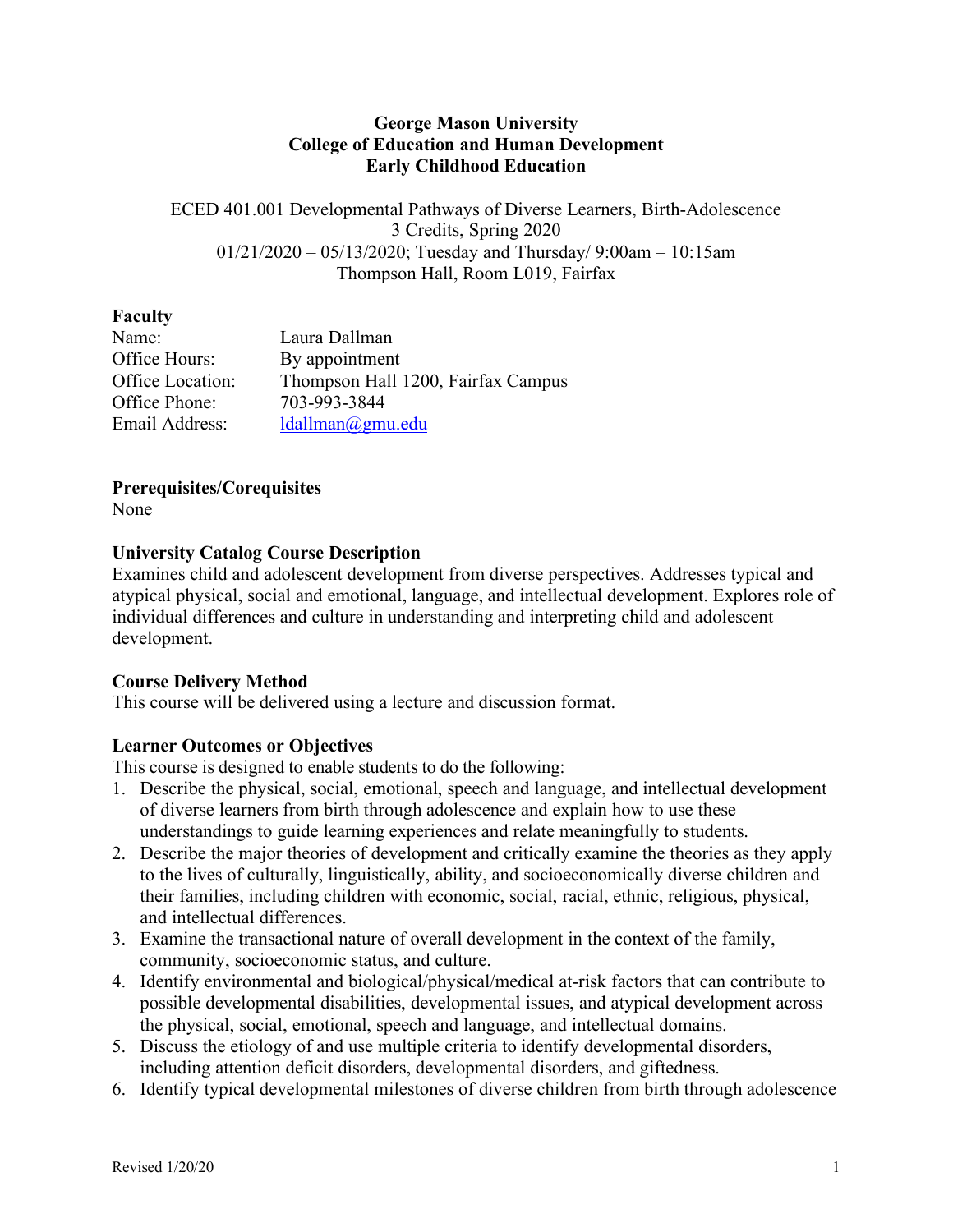### **George Mason University College of Education and Human Development Early Childhood Education**

ECED 401.001 Developmental Pathways of Diverse Learners, Birth-Adolescence 3 Credits, Spring 2020 01/21/2020 – 05/13/2020; Tuesday and Thursday/ 9:00am – 10:15am Thompson Hall, Room L019, Fairfax

## **Faculty**

| Name:            | Laura Dallman                      |
|------------------|------------------------------------|
| Office Hours:    | By appointment                     |
| Office Location: | Thompson Hall 1200, Fairfax Campus |
| Office Phone:    | 703-993-3844                       |
| Email Address:   | $l$ dallman $\omega$ gmu.edu       |

## **Prerequisites/Corequisites**

None

## **University Catalog Course Description**

Examines child and adolescent development from diverse perspectives. Addresses typical and atypical physical, social and emotional, language, and intellectual development. Explores role of individual differences and culture in understanding and interpreting child and adolescent development.

# **Course Delivery Method**

This course will be delivered using a lecture and discussion format.

# **Learner Outcomes or Objectives**

This course is designed to enable students to do the following:

- 1. Describe the physical, social, emotional, speech and language, and intellectual development of diverse learners from birth through adolescence and explain how to use these understandings to guide learning experiences and relate meaningfully to students.
- 2. Describe the major theories of development and critically examine the theories as they apply to the lives of culturally, linguistically, ability, and socioeconomically diverse children and their families, including children with economic, social, racial, ethnic, religious, physical, and intellectual differences.
- 3. Examine the transactional nature of overall development in the context of the family, community, socioeconomic status, and culture.
- 4. Identify environmental and biological/physical/medical at-risk factors that can contribute to possible developmental disabilities, developmental issues, and atypical development across the physical, social, emotional, speech and language, and intellectual domains.
- 5. Discuss the etiology of and use multiple criteria to identify developmental disorders, including attention deficit disorders, developmental disorders, and giftedness.
- 6. Identify typical developmental milestones of diverse children from birth through adolescence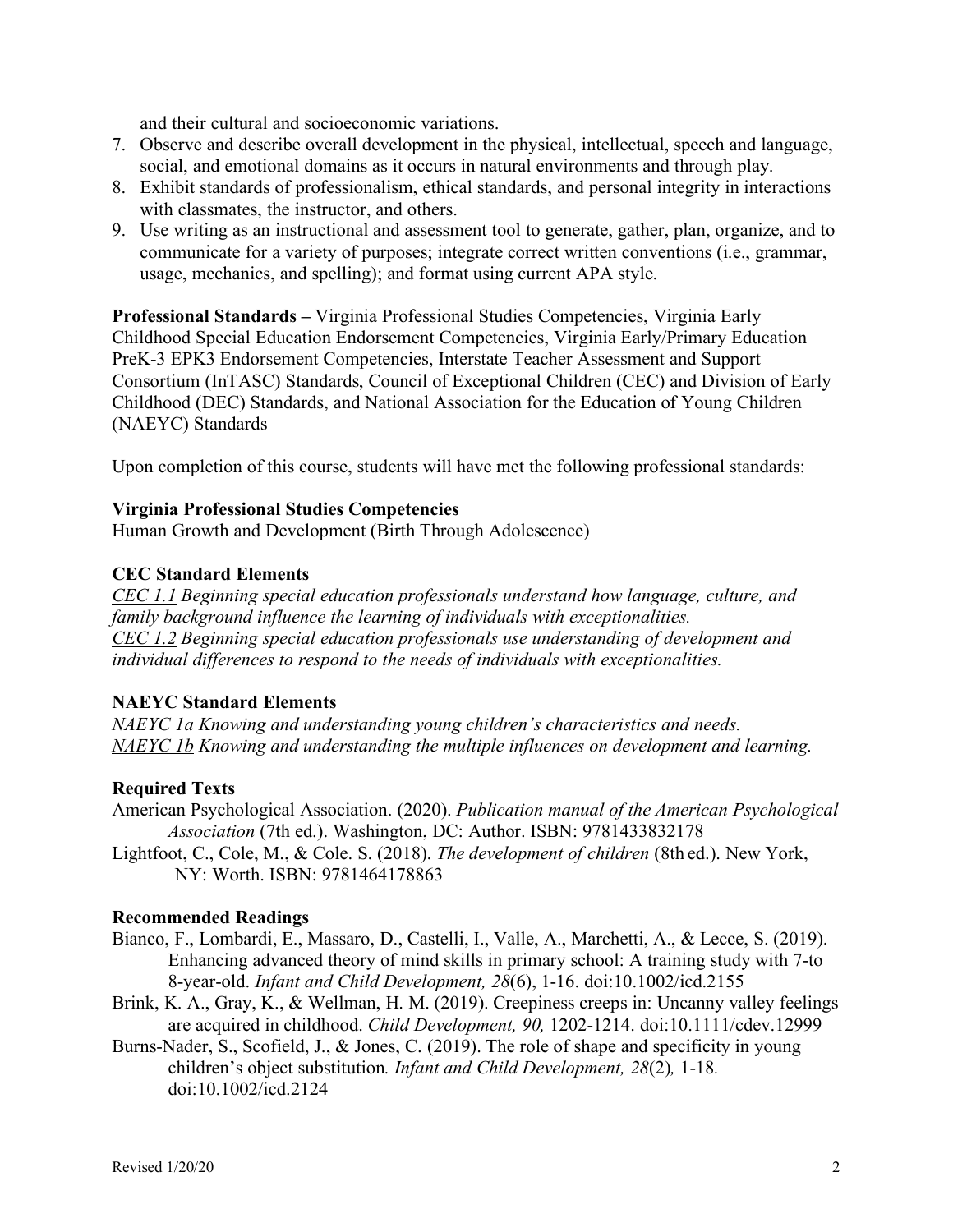and their cultural and socioeconomic variations.

- 7. Observe and describe overall development in the physical, intellectual, speech and language, social, and emotional domains as it occurs in natural environments and through play.
- 8. Exhibit standards of professionalism, ethical standards, and personal integrity in interactions with classmates, the instructor, and others.
- 9. Use writing as an instructional and assessment tool to generate, gather, plan, organize, and to communicate for a variety of purposes; integrate correct written conventions (i.e., grammar, usage, mechanics, and spelling); and format using current APA style.

**Professional Standards –** Virginia Professional Studies Competencies, Virginia Early Childhood Special Education Endorsement Competencies, Virginia Early/Primary Education PreK-3 EPK3 Endorsement Competencies, Interstate Teacher Assessment and Support Consortium (InTASC) Standards, Council of Exceptional Children (CEC) and Division of Early Childhood (DEC) Standards, and National Association for the Education of Young Children (NAEYC) Standards

Upon completion of this course, students will have met the following professional standards:

#### **Virginia Professional Studies Competencies**

Human Growth and Development (Birth Through Adolescence)

### **CEC Standard Elements**

*CEC 1.1 Beginning special education professionals understand how language, culture, and family background influence the learning of individuals with exceptionalities. CEC 1.2 Beginning special education professionals use understanding of development and individual differences to respond to the needs of individuals with exceptionalities.*

### **NAEYC Standard Elements**

*NAEYC 1a Knowing and understanding young children's characteristics and needs. NAEYC 1b Knowing and understanding the multiple influences on development and learning.*

## **Required Texts**

- American Psychological Association. (2020). *Publication manual of the American Psychological Association* (7th ed.). Washington, DC: Author. ISBN: 9781433832178
- Lightfoot, C., Cole, M., & Cole. S. (2018). *The development of children* (8th ed.). New York, NY: Worth. ISBN: 9781464178863

#### **Recommended Readings**

- Bianco, F., Lombardi, E., Massaro, D., Castelli, I., Valle, A., Marchetti, A., & Lecce, S. (2019). Enhancing advanced theory of mind skills in primary school: A training study with 7-to 8-year-old. *Infant and Child Development, 28*(6), 1-16. doi:10.1002/icd.2155
- Brink, K. A., Gray, K., & Wellman, H. M. (2019). Creepiness creeps in: Uncanny valley feelings are acquired in childhood. *Child Development, 90,* 1202-1214. doi:10.1111/cdev.12999
- Burns-Nader, S., Scofield, J., & Jones, C. (2019). The role of shape and specificity in young children's object substitution*. Infant and Child Development, 28*(2)*,* 1-18*.*  doi:10.1002/icd.2124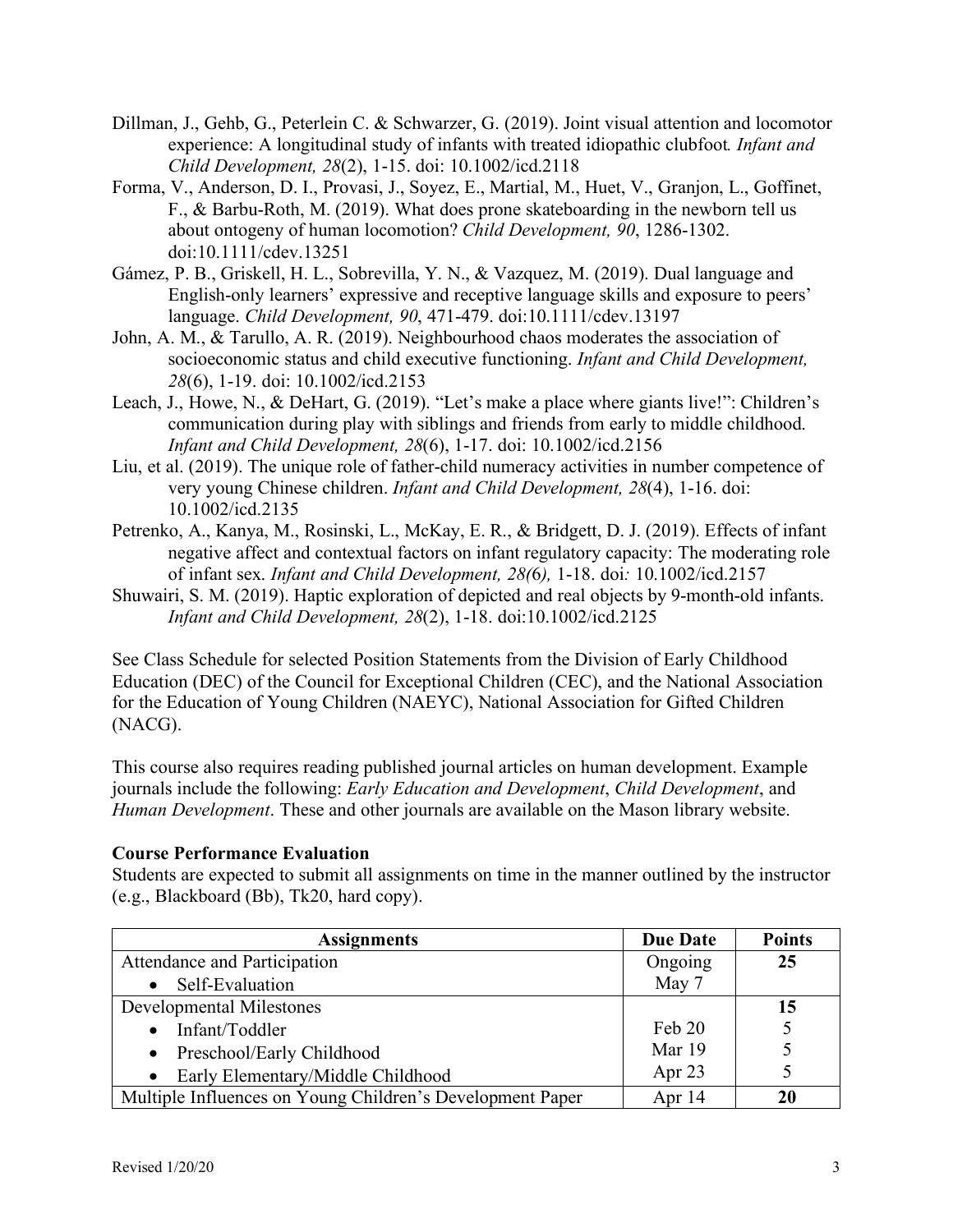- Dillman, J., Gehb, G., Peterlein C. & Schwarzer, G. (2019). Joint visual attention and locomotor experience: A longitudinal study of infants with treated idiopathic clubfoot*. Infant and Child Development, 28*(2), 1-15. doi: 10.1002/icd.2118
- Forma, V., Anderson, D. I., Provasi, J., Soyez, E., Martial, M., Huet, V., Granjon, L., Goffinet, F., & Barbu-Roth, M. (2019). What does prone skateboarding in the newborn tell us about ontogeny of human locomotion? *Child Development, 90*, 1286-1302. doi:10.1111/cdev.13251
- Gámez, P. B., Griskell, H. L., Sobrevilla, Y. N., & Vazquez, M. (2019). Dual language and English-only learners' expressive and receptive language skills and exposure to peers' language. *Child Development, 90*, 471-479. doi:10.1111/cdev.13197
- John, A. M., & Tarullo, A. R. (2019). Neighbourhood chaos moderates the association of socioeconomic status and child executive functioning. *Infant and Child Development, 28*(6), 1-19. doi: 10.1002/icd.2153
- Leach, J., Howe, N., & DeHart, G. (2019). "Let's make a place where giants live!": Children's communication during play with siblings and friends from early to middle childhood. *Infant and Child Development, 28*(6), 1-17. doi: 10.1002/icd.2156
- Liu, et al. (2019). The unique role of father-child numeracy activities in number competence of very young Chinese children. *Infant and Child Development, 28*(4), 1-16. doi: 10.1002/icd.2135
- Petrenko, A., Kanya, M., Rosinski, L., McKay, E. R., & Bridgett, D. J. (2019). Effects of infant negative affect and contextual factors on infant regulatory capacity: The moderating role of infant sex. *Infant and Child Development, 28(*6*),* 1-18. doi*:* 10.1002/icd.2157
- Shuwairi, S. M. (2019). Haptic exploration of depicted and real objects by 9-month-old infants. *Infant and Child Development, 28*(2), 1-18. doi:10.1002/icd.2125

See Class Schedule for selected Position Statements from the Division of Early Childhood Education (DEC) of the Council for Exceptional Children (CEC), and the National Association for the Education of Young Children (NAEYC), National Association for Gifted Children (NACG).

This course also requires reading published journal articles on human development. Example journals include the following: *Early Education and Development*, *Child Development*, and *Human Development*. These and other journals are available on the Mason library website.

## **Course Performance Evaluation**

Students are expected to submit all assignments on time in the manner outlined by the instructor (e.g., Blackboard (Bb), Tk20, hard copy).

| <b>Assignments</b>                                        | <b>Due Date</b> | <b>Points</b> |
|-----------------------------------------------------------|-----------------|---------------|
| Attendance and Participation                              | Ongoing         | 25            |
| Self-Evaluation                                           | May 7           |               |
| <b>Developmental Milestones</b>                           |                 | 15            |
| Infant/Toddler                                            | Feb 20          |               |
| Preschool/Early Childhood<br>$\bullet$                    | Mar 19          |               |
| Early Elementary/Middle Childhood<br>$\bullet$            | Apr 23          |               |
| Multiple Influences on Young Children's Development Paper | Apr 14          | 20            |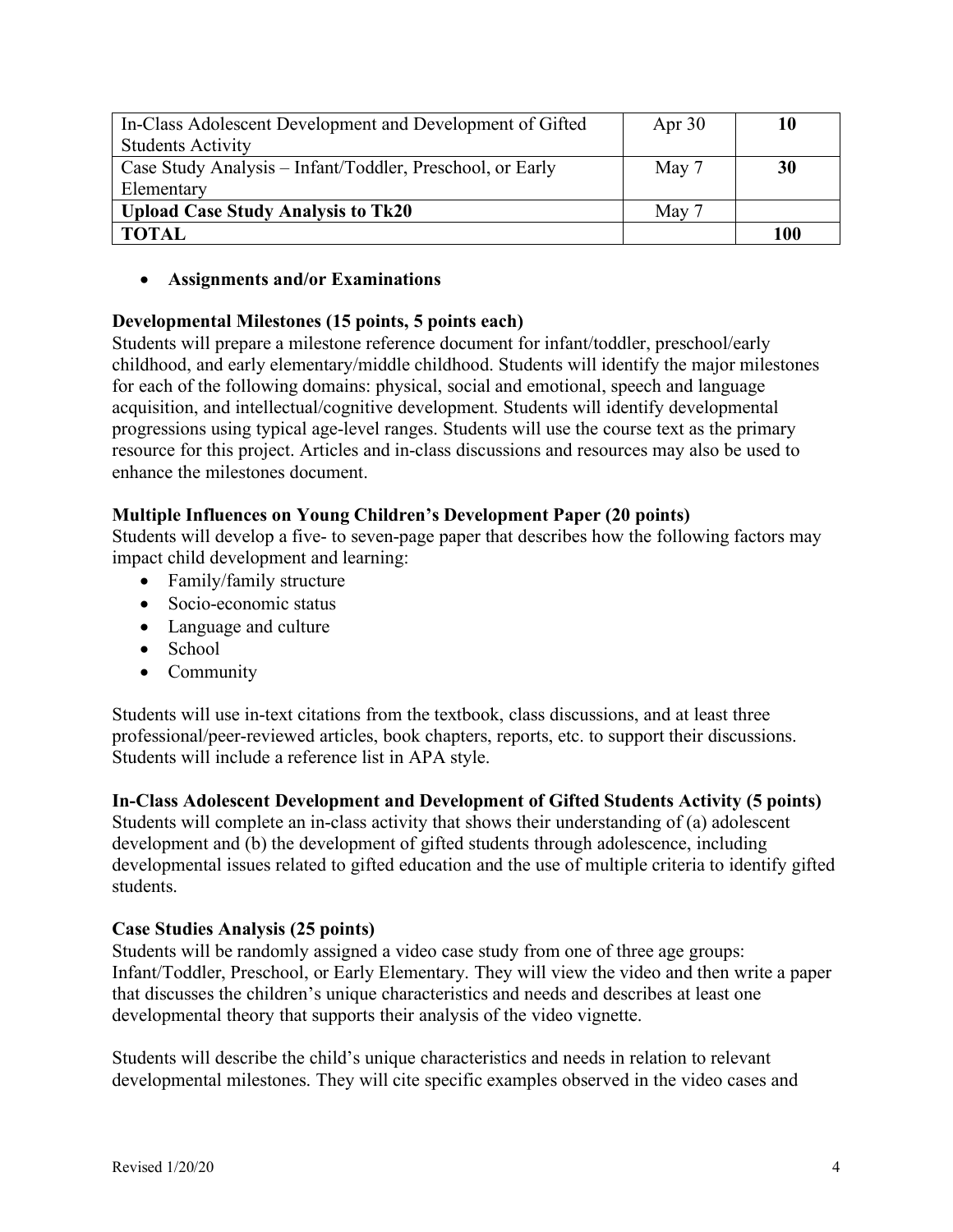| In-Class Adolescent Development and Development of Gifted | Apr $30$ | 10  |
|-----------------------------------------------------------|----------|-----|
| <b>Students Activity</b>                                  |          |     |
| Case Study Analysis - Infant/Toddler, Preschool, or Early | May 7    | 30  |
| Elementary                                                |          |     |
| <b>Upload Case Study Analysis to Tk20</b>                 | May 7    |     |
| <b>TOTAL</b>                                              |          | 100 |

• **Assignments and/or Examinations**

## **Developmental Milestones (15 points, 5 points each)**

Students will prepare a milestone reference document for infant/toddler, preschool/early childhood, and early elementary/middle childhood. Students will identify the major milestones for each of the following domains: physical, social and emotional, speech and language acquisition, and intellectual/cognitive development. Students will identify developmental progressions using typical age-level ranges. Students will use the course text as the primary resource for this project. Articles and in-class discussions and resources may also be used to enhance the milestones document.

### **Multiple Influences on Young Children's Development Paper (20 points)**

Students will develop a five- to seven-page paper that describes how the following factors may impact child development and learning:

- Family/family structure
- Socio-economic status
- Language and culture
- School
- Community

Students will use in-text citations from the textbook, class discussions, and at least three professional/peer-reviewed articles, book chapters, reports, etc. to support their discussions. Students will include a reference list in APA style.

**In-Class Adolescent Development and Development of Gifted Students Activity (5 points)** Students will complete an in-class activity that shows their understanding of (a) adolescent development and (b) the development of gifted students through adolescence, including developmental issues related to gifted education and the use of multiple criteria to identify gifted students.

## **Case Studies Analysis (25 points)**

Students will be randomly assigned a video case study from one of three age groups: Infant/Toddler, Preschool, or Early Elementary. They will view the video and then write a paper that discusses the children's unique characteristics and needs and describes at least one developmental theory that supports their analysis of the video vignette.

Students will describe the child's unique characteristics and needs in relation to relevant developmental milestones. They will cite specific examples observed in the video cases and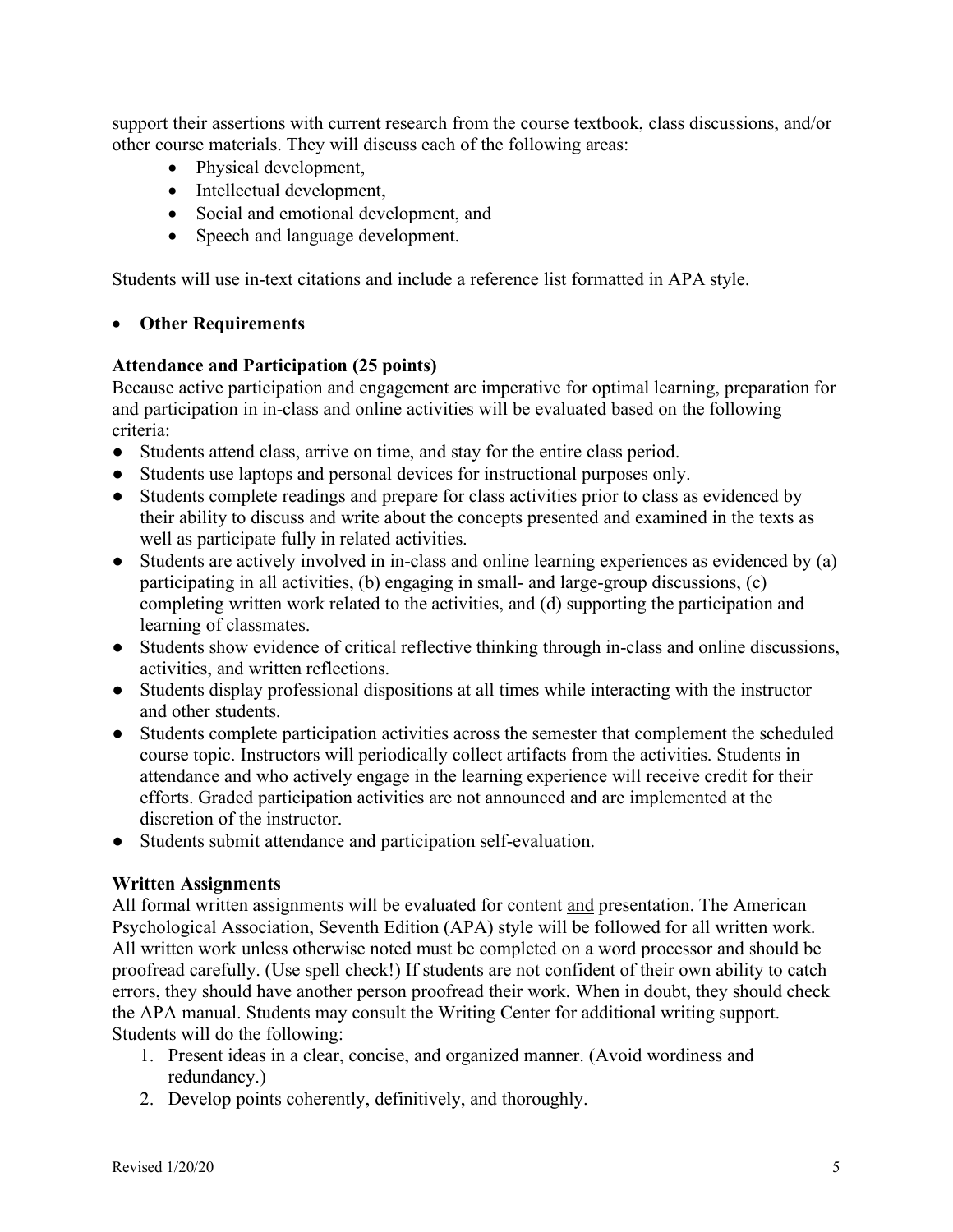support their assertions with current research from the course textbook, class discussions, and/or other course materials. They will discuss each of the following areas:

- Physical development,
- Intellectual development,
- Social and emotional development, and
- Speech and language development.

Students will use in-text citations and include a reference list formatted in APA style.

### • **Other Requirements**

### **Attendance and Participation (25 points)**

Because active participation and engagement are imperative for optimal learning, preparation for and participation in in-class and online activities will be evaluated based on the following criteria:

- Students attend class, arrive on time, and stay for the entire class period.
- Students use laptops and personal devices for instructional purposes only.
- Students complete readings and prepare for class activities prior to class as evidenced by their ability to discuss and write about the concepts presented and examined in the texts as well as participate fully in related activities.
- Students are actively involved in in-class and online learning experiences as evidenced by (a) participating in all activities, (b) engaging in small- and large-group discussions, (c) completing written work related to the activities, and (d) supporting the participation and learning of classmates.
- Students show evidence of critical reflective thinking through in-class and online discussions, activities, and written reflections.
- Students display professional dispositions at all times while interacting with the instructor and other students.
- Students complete participation activities across the semester that complement the scheduled course topic. Instructors will periodically collect artifacts from the activities. Students in attendance and who actively engage in the learning experience will receive credit for their efforts. Graded participation activities are not announced and are implemented at the discretion of the instructor.
- Students submit attendance and participation self-evaluation.

## **Written Assignments**

All formal written assignments will be evaluated for content and presentation. The American Psychological Association, Seventh Edition (APA) style will be followed for all written work. All written work unless otherwise noted must be completed on a word processor and should be proofread carefully. (Use spell check!) If students are not confident of their own ability to catch errors, they should have another person proofread their work. When in doubt, they should check the APA manual. Students may consult the Writing Center for additional writing support. Students will do the following:

- 1. Present ideas in a clear, concise, and organized manner. (Avoid wordiness and redundancy.)
- 2. Develop points coherently, definitively, and thoroughly.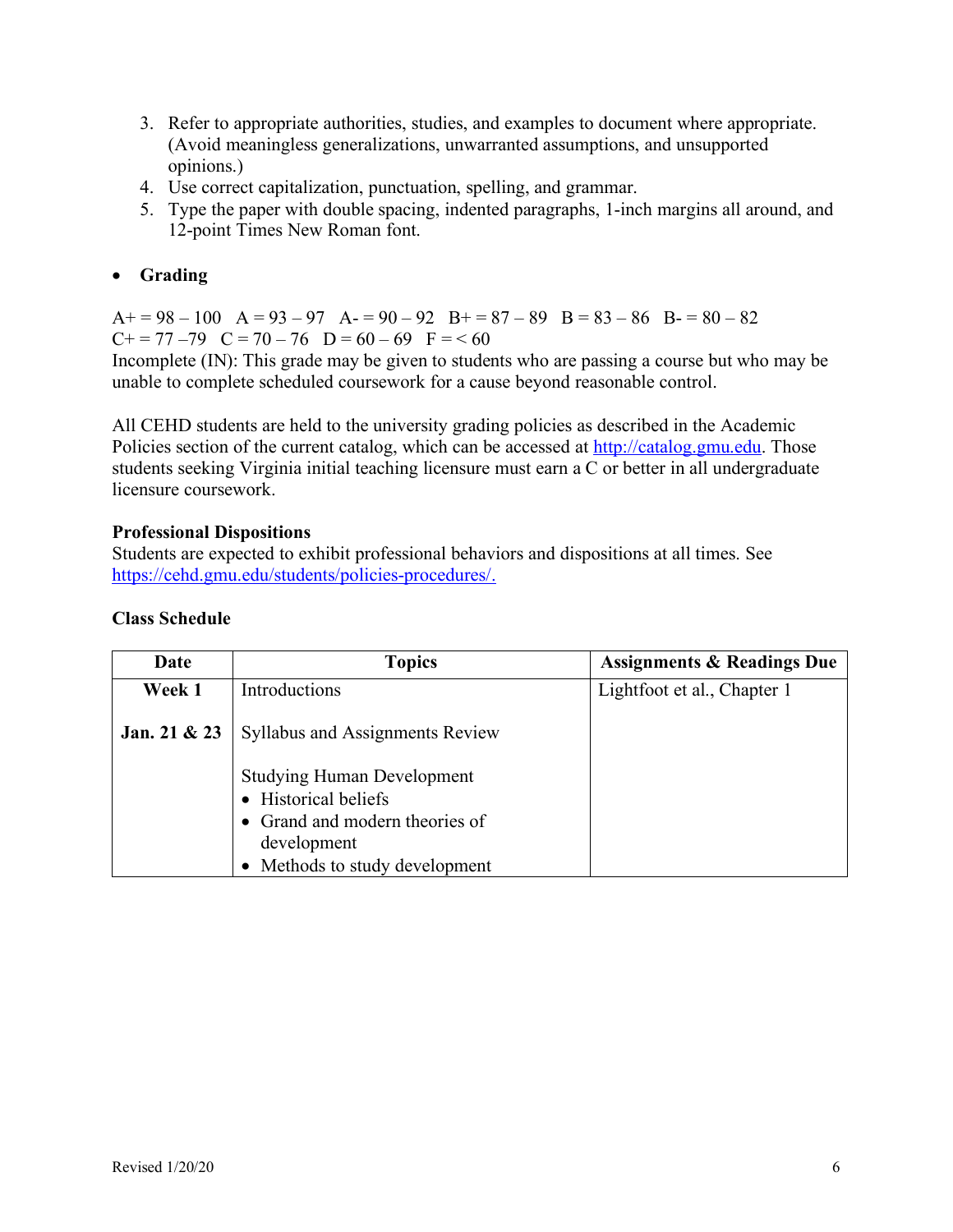- 3. Refer to appropriate authorities, studies, and examples to document where appropriate. (Avoid meaningless generalizations, unwarranted assumptions, and unsupported opinions.)
- 4. Use correct capitalization, punctuation, spelling, and grammar.
- 5. Type the paper with double spacing, indented paragraphs, 1-inch margins all around, and 12-point Times New Roman font.
- **Grading**

 $A+= 98-100$   $A= 93-97$   $A=- 90-92$   $B+= 87-89$   $B= 83-86$   $B=- 80-82$  $C+=77-79$   $C=70-76$   $D=60-69$   $F=<60$ 

Incomplete (IN): This grade may be given to students who are passing a course but who may be unable to complete scheduled coursework for a cause beyond reasonable control.

All CEHD students are held to the university grading policies as described in the Academic Policies section of the current catalog, which can be accessed at http://catalog.gmu.edu. Those students seeking Virginia initial teaching licensure must earn a C or better in all undergraduate licensure coursework.

### **Professional Dispositions**

Students are expected to exhibit professional behaviors and dispositions at all times. See https://cehd.gmu.edu/students/policies-procedures/.

#### **Class Schedule**

| Date         | <b>Topics</b>                                                                                                                                | <b>Assignments &amp; Readings Due</b> |
|--------------|----------------------------------------------------------------------------------------------------------------------------------------------|---------------------------------------|
| Week 1       | Introductions                                                                                                                                | Lightfoot et al., Chapter 1           |
| Jan. 21 & 23 | <b>Syllabus and Assignments Review</b>                                                                                                       |                                       |
|              | <b>Studying Human Development</b><br>• Historical beliefs<br>• Grand and modern theories of<br>development<br>• Methods to study development |                                       |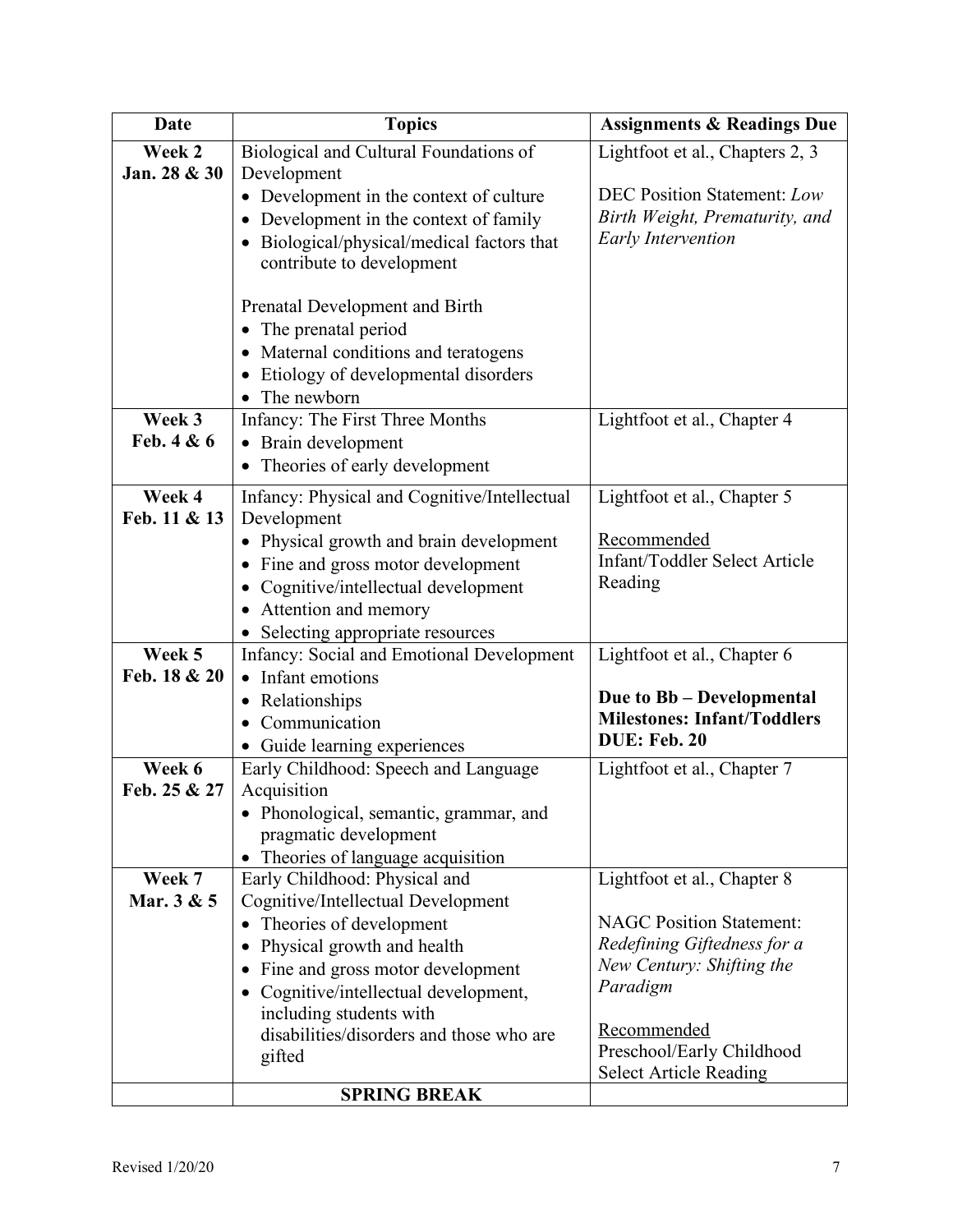| <b>Date</b>          | <b>Topics</b>                                                  | <b>Assignments &amp; Readings Due</b> |
|----------------------|----------------------------------------------------------------|---------------------------------------|
| Week 2               | Biological and Cultural Foundations of                         | Lightfoot et al., Chapters 2, 3       |
| Jan. 28 & 30         | Development                                                    |                                       |
|                      | • Development in the context of culture                        | <b>DEC Position Statement: Low</b>    |
|                      | Development in the context of family                           | Birth Weight, Prematurity, and        |
|                      | Biological/physical/medical factors that                       | <b>Early Intervention</b>             |
|                      | contribute to development                                      |                                       |
|                      | Prenatal Development and Birth                                 |                                       |
|                      | The prenatal period<br>$\bullet$                               |                                       |
|                      | Maternal conditions and teratogens<br>$\bullet$                |                                       |
|                      | Etiology of developmental disorders                            |                                       |
|                      | The newborn                                                    |                                       |
| Week 3               | Infancy: The First Three Months                                | Lightfoot et al., Chapter 4           |
| Feb. 4 & 6           | Brain development                                              |                                       |
|                      | Theories of early development                                  |                                       |
| Week 4               | Infancy: Physical and Cognitive/Intellectual                   | Lightfoot et al., Chapter 5           |
| Feb. 11 & 13         | Development                                                    |                                       |
|                      | Physical growth and brain development                          | Recommended                           |
|                      | Fine and gross motor development                               | Infant/Toddler Select Article         |
|                      | Cognitive/intellectual development                             | Reading                               |
|                      | Attention and memory<br>$\bullet$                              |                                       |
| Week 5               | Selecting appropriate resources                                |                                       |
| Feb. 18 & 20         | Infancy: Social and Emotional Development<br>• Infant emotions | Lightfoot et al., Chapter 6           |
|                      | • Relationships                                                | Due to Bb - Developmental             |
|                      | Communication                                                  | <b>Milestones: Infant/Toddlers</b>    |
|                      | Guide learning experiences                                     | <b>DUE: Feb. 20</b>                   |
| Week 6               | Early Childhood: Speech and Language                           | Lightfoot et al., Chapter 7           |
| Feb. 25 & 27         | Acquisition                                                    |                                       |
|                      | · Phonological, semantic, grammar, and                         |                                       |
|                      | pragmatic development                                          |                                       |
|                      | Theories of language acquisition                               |                                       |
| Week 7<br>Mar. 3 & 5 | Early Childhood: Physical and                                  | Lightfoot et al., Chapter 8           |
|                      | Cognitive/Intellectual Development<br>Theories of development  | <b>NAGC Position Statement:</b>       |
|                      | Physical growth and health                                     | Redefining Giftedness for a           |
|                      | Fine and gross motor development                               | New Century: Shifting the             |
|                      | Cognitive/intellectual development,                            | Paradigm                              |
|                      | including students with                                        |                                       |
|                      | disabilities/disorders and those who are                       | Recommended                           |
|                      | gifted                                                         | Preschool/Early Childhood             |
|                      | <b>SPRING BREAK</b>                                            | <b>Select Article Reading</b>         |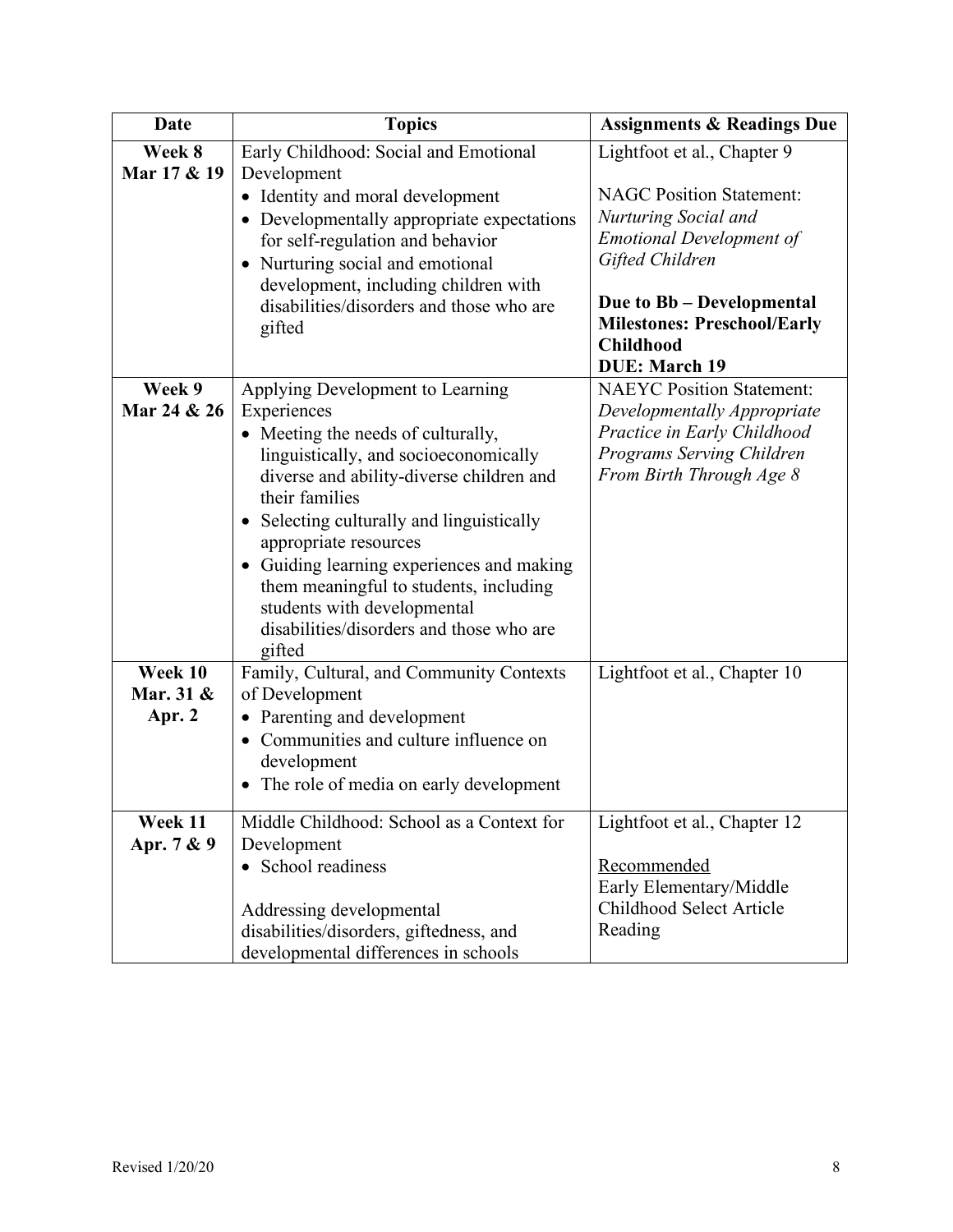| Date        | <b>Topics</b><br><b>Assignments &amp; Readings Due</b>                          |                                                          |
|-------------|---------------------------------------------------------------------------------|----------------------------------------------------------|
| Week 8      | Early Childhood: Social and Emotional                                           | Lightfoot et al., Chapter 9                              |
| Mar 17 & 19 | Development                                                                     |                                                          |
|             | • Identity and moral development                                                | <b>NAGC Position Statement:</b>                          |
|             | • Developmentally appropriate expectations                                      | Nurturing Social and<br><b>Emotional Development of</b>  |
|             | for self-regulation and behavior<br>• Nurturing social and emotional            | Gifted Children                                          |
|             | development, including children with                                            |                                                          |
|             | disabilities/disorders and those who are                                        | Due to Bb - Developmental                                |
|             | gifted                                                                          | <b>Milestones: Preschool/Early</b>                       |
|             |                                                                                 | <b>Childhood</b>                                         |
| Week 9      |                                                                                 | <b>DUE: March 19</b><br><b>NAEYC Position Statement:</b> |
| Mar 24 & 26 | Applying Development to Learning<br>Experiences                                 | Developmentally Appropriate                              |
|             | • Meeting the needs of culturally,                                              | Practice in Early Childhood                              |
|             | linguistically, and socioeconomically                                           | Programs Serving Children                                |
|             | diverse and ability-diverse children and                                        | From Birth Through Age 8                                 |
|             | their families                                                                  |                                                          |
|             | • Selecting culturally and linguistically                                       |                                                          |
|             | appropriate resources                                                           |                                                          |
|             | Guiding learning experiences and making                                         |                                                          |
|             | them meaningful to students, including<br>students with developmental           |                                                          |
|             | disabilities/disorders and those who are                                        |                                                          |
|             | gifted                                                                          |                                                          |
| Week 10     | Family, Cultural, and Community Contexts                                        | Lightfoot et al., Chapter 10                             |
| Mar. 31 &   | of Development                                                                  |                                                          |
| Apr. 2      | • Parenting and development                                                     |                                                          |
|             | • Communities and culture influence on                                          |                                                          |
|             | development                                                                     |                                                          |
|             | • The role of media on early development                                        |                                                          |
| Week 11     | Middle Childhood: School as a Context for                                       | Lightfoot et al., Chapter 12                             |
| Apr. 7 & 9  | Development                                                                     |                                                          |
|             | • School readiness                                                              | Recommended                                              |
|             |                                                                                 | Early Elementary/Middle                                  |
|             | Addressing developmental                                                        | Childhood Select Article<br>Reading                      |
|             | disabilities/disorders, giftedness, and<br>developmental differences in schools |                                                          |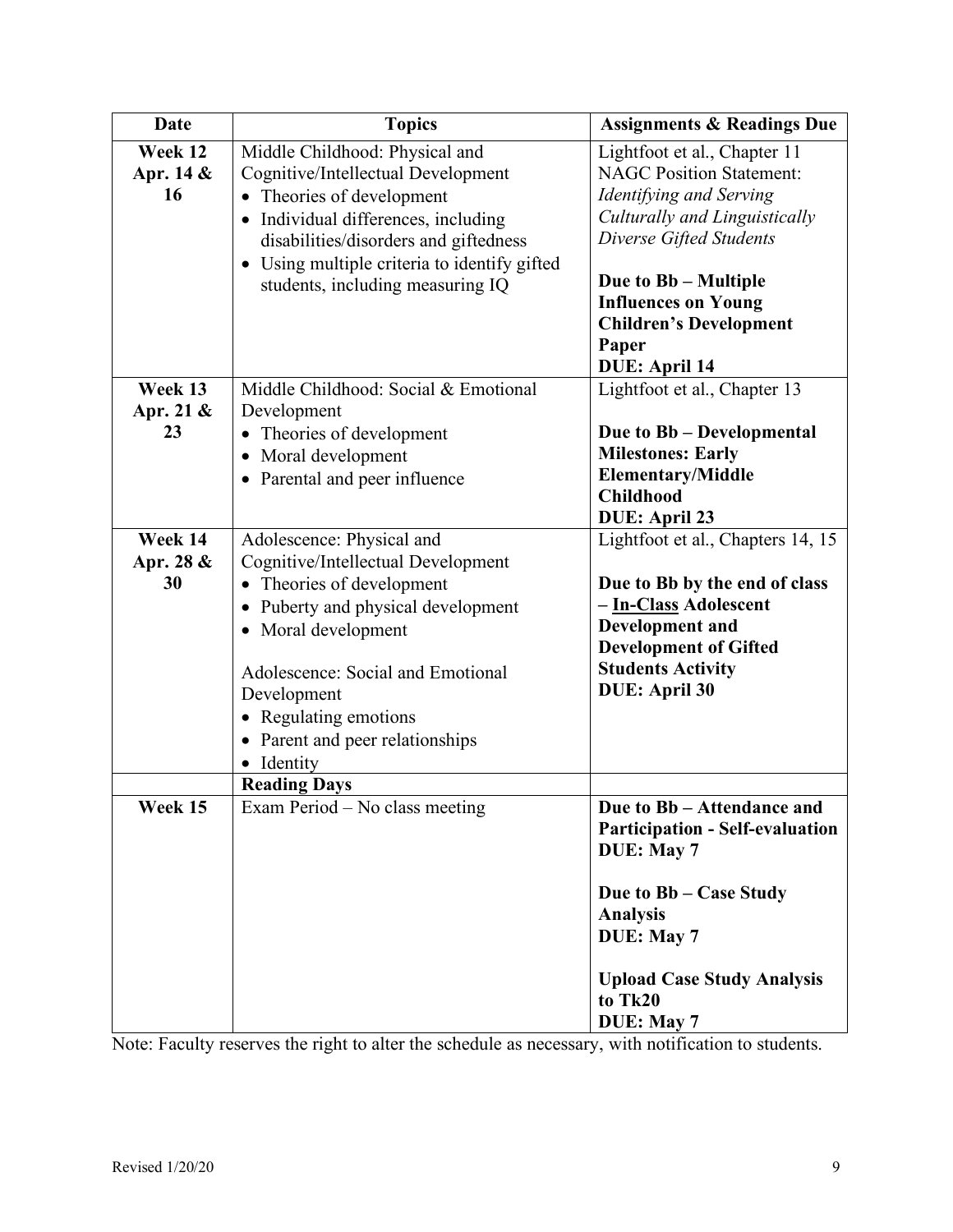| <b>Date</b>                | <b>Topics</b>                                                                                                                                                                                                                                                                       | <b>Assignments &amp; Readings Due</b>                                                                                                                                                                                                                                          |
|----------------------------|-------------------------------------------------------------------------------------------------------------------------------------------------------------------------------------------------------------------------------------------------------------------------------------|--------------------------------------------------------------------------------------------------------------------------------------------------------------------------------------------------------------------------------------------------------------------------------|
| Week 12<br>Apr. 14 &<br>16 | Middle Childhood: Physical and<br>Cognitive/Intellectual Development<br>• Theories of development<br>• Individual differences, including<br>disabilities/disorders and giftedness<br>• Using multiple criteria to identify gifted<br>students, including measuring IQ               | Lightfoot et al., Chapter 11<br><b>NAGC Position Statement:</b><br>Identifying and Serving<br>Culturally and Linguistically<br>Diverse Gifted Students<br>Due to Bb - Multiple<br><b>Influences on Young</b><br><b>Children's Development</b><br>Paper<br><b>DUE: April 14</b> |
| Week 13<br>Apr. 21 &<br>23 | Middle Childhood: Social & Emotional<br>Development<br>• Theories of development<br>• Moral development<br>• Parental and peer influence                                                                                                                                            | Lightfoot et al., Chapter 13<br>Due to Bb - Developmental<br><b>Milestones: Early</b><br><b>Elementary/Middle</b><br><b>Childhood</b><br><b>DUE: April 23</b>                                                                                                                  |
| Week 14<br>Apr. 28 &<br>30 | Adolescence: Physical and<br>Cognitive/Intellectual Development<br>Theories of development<br>• Puberty and physical development<br>• Moral development<br>Adolescence: Social and Emotional<br>Development<br>• Regulating emotions<br>• Parent and peer relationships<br>Identity | Lightfoot et al., Chapters 14, 15<br>Due to Bb by the end of class<br>- In-Class Adolescent<br>Development and<br><b>Development of Gifted</b><br><b>Students Activity</b><br><b>DUE: April 30</b>                                                                             |
| Week 15                    | <b>Reading Days</b><br>Exam Period - No class meeting                                                                                                                                                                                                                               | Due to Bb - Attendance and<br><b>Participation - Self-evaluation</b><br>DUE: May 7<br>Due to Bb – Case Study<br><b>Analysis</b><br>DUE: May 7<br><b>Upload Case Study Analysis</b><br>to Tk20<br>DUE: May 7                                                                    |

Note: Faculty reserves the right to alter the schedule as necessary, with notification to students.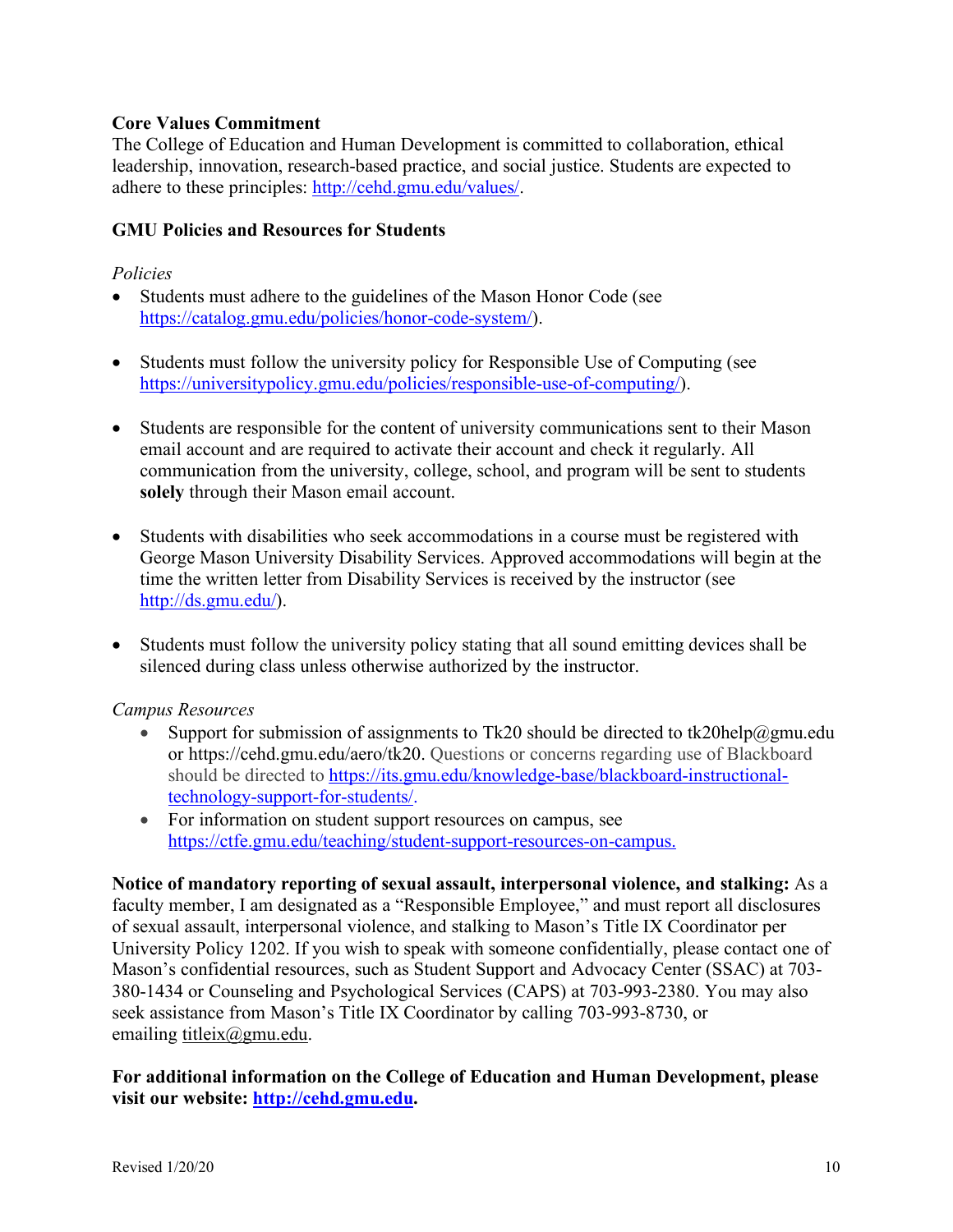## **Core Values Commitment**

The College of Education and Human Development is committed to collaboration, ethical leadership, innovation, research-based practice, and social justice. Students are expected to adhere to these principles: http://cehd.gmu.edu/values/.

### **GMU Policies and Resources for Students**

#### *Policies*

- Students must adhere to the guidelines of the Mason Honor Code (see https://catalog.gmu.edu/policies/honor-code-system/).
- Students must follow the university policy for Responsible Use of Computing (see https://universitypolicy.gmu.edu/policies/responsible-use-of-computing/).
- Students are responsible for the content of university communications sent to their Mason email account and are required to activate their account and check it regularly. All communication from the university, college, school, and program will be sent to students **solely** through their Mason email account.
- Students with disabilities who seek accommodations in a course must be registered with George Mason University Disability Services. Approved accommodations will begin at the time the written letter from Disability Services is received by the instructor (see http://ds.gmu.edu/).
- Students must follow the university policy stating that all sound emitting devices shall be silenced during class unless otherwise authorized by the instructor.

## *Campus Resources*

- Support for submission of assignments to Tk20 should be directed to tk20help@gmu.edu or https://cehd.gmu.edu/aero/tk20. Questions or concerns regarding use of Blackboard should be directed to https://its.gmu.edu/knowledge-base/blackboard-instructionaltechnology-support-for-students/.
- For information on student support resources on campus, see https://ctfe.gmu.edu/teaching/student-support-resources-on-campus.

**Notice of mandatory reporting of sexual assault, interpersonal violence, and stalking:** As a faculty member, I am designated as a "Responsible Employee," and must report all disclosures of sexual assault, interpersonal violence, and stalking to Mason's Title IX Coordinator per University Policy 1202. If you wish to speak with someone confidentially, please contact one of Mason's confidential resources, such as Student Support and Advocacy Center (SSAC) at 703- 380-1434 or Counseling and Psychological Services (CAPS) at 703-993-2380. You may also seek assistance from Mason's Title IX Coordinator by calling 703-993-8730, or emailing titleix@gmu.edu.

## **For additional information on the College of Education and Human Development, please visit our website: http://cehd.gmu.edu.**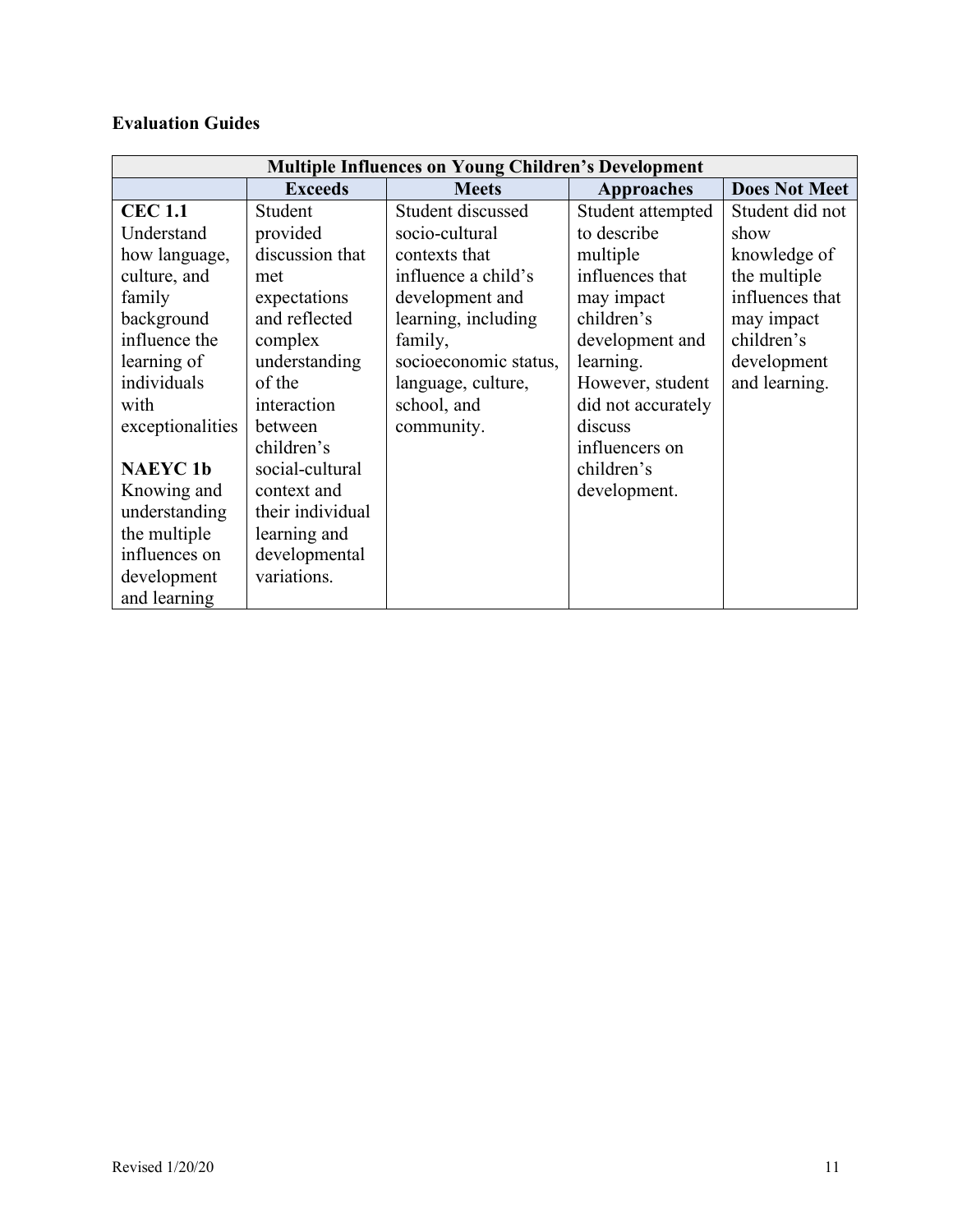# **Evaluation Guides**

| <b>Multiple Influences on Young Children's Development</b> |                  |                       |                    |                      |
|------------------------------------------------------------|------------------|-----------------------|--------------------|----------------------|
|                                                            | <b>Exceeds</b>   | <b>Meets</b>          | <b>Approaches</b>  | <b>Does Not Meet</b> |
| <b>CEC 1.1</b>                                             | Student          | Student discussed     | Student attempted  | Student did not      |
| Understand                                                 | provided         | socio-cultural        | to describe        | show                 |
| how language,                                              | discussion that  | contexts that         | multiple           | knowledge of         |
| culture, and                                               | met              | influence a child's   | influences that    | the multiple         |
| family                                                     | expectations     | development and       | may impact         | influences that      |
| background                                                 | and reflected    | learning, including   | children's         | may impact           |
| influence the                                              | complex          | family,               | development and    | children's           |
| learning of                                                | understanding    | socioeconomic status, | learning.          | development          |
| individuals                                                | of the           | language, culture,    | However, student   | and learning.        |
| with                                                       | interaction      | school, and           | did not accurately |                      |
| exceptionalities                                           | between          | community.            | discuss            |                      |
|                                                            | children's       |                       | influencers on     |                      |
| <b>NAEYC1b</b>                                             | social-cultural  |                       | children's         |                      |
| Knowing and                                                | context and      |                       | development.       |                      |
| understanding                                              | their individual |                       |                    |                      |
| the multiple                                               | learning and     |                       |                    |                      |
| influences on                                              | developmental    |                       |                    |                      |
| development                                                | variations.      |                       |                    |                      |
| and learning                                               |                  |                       |                    |                      |